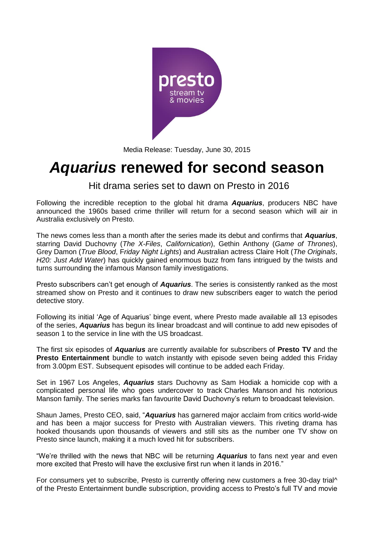

Media Release: Tuesday, June 30, 2015

# *Aquarius* **renewed for second season**

Hit drama series set to dawn on Presto in 2016

Following the incredible reception to the global hit drama *Aquarius*, producers NBC have announced the 1960s based crime thriller will return for a second season which will air in Australia exclusively on Presto.

The news comes less than a month after the series made its debut and confirms that *Aquarius*, starring David Duchovny (*The X-Files*, *Californication*), Gethin Anthony (*Game of Thrones*), Grey Damon (*True Blood*, F*riday Night Lights*) and Australian actress Claire Holt (*The Originals*, *H20: Just Add Water*) has quickly gained enormous buzz from fans intrigued by the twists and turns surrounding the infamous Manson family investigations.

Presto subscribers can't get enough of *Aquarius*. The series is consistently ranked as the most streamed show on Presto and it continues to draw new subscribers eager to watch the period detective story.

Following its initial 'Age of Aquarius' binge event, where Presto made available all 13 episodes of the series, *Aquarius* has begun its linear broadcast and will continue to add new episodes of season 1 to the service in line with the US broadcast.

The first six episodes of *Aquarius* are currently available for subscribers of **Presto TV** and the **Presto Entertainment** bundle to watch instantly with episode seven being added this Friday from 3.00pm EST. Subsequent episodes will continue to be added each Friday.

Set in 1967 Los Angeles, *Aquarius* stars Duchovny as Sam Hodiak a homicide cop with a complicated personal life who goes undercover to track Charles Manson and his notorious Manson family. The series marks fan favourite David Duchovny's return to broadcast television.

Shaun James, Presto CEO, said, "*Aquarius* has garnered major acclaim from critics world-wide and has been a major success for Presto with Australian viewers. This riveting drama has hooked thousands upon thousands of viewers and still sits as the number one TV show on Presto since launch, making it a much loved hit for subscribers.

"We're thrilled with the news that NBC will be returning *Aquarius* to fans next year and even more excited that Presto will have the exclusive first run when it lands in 2016."

For consumers yet to subscribe, Presto is currently offering new customers a free 30-day trial^ of the Presto Entertainment bundle subscription, providing access to Presto's full TV and movie